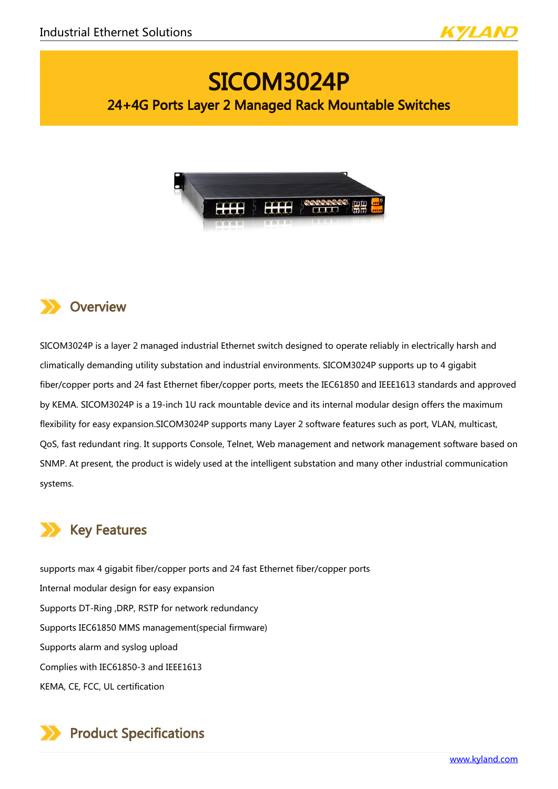

# SICOM3024P 24+4G Ports Layer 2 Managed Rack Mountable Switches





SICOM3024P is a layer 2 managed industrial Ethernet switch designed to operate reliably in electrically harsh and climatically demanding utility substation and industrial environments. SICOM3024P supports up to 4 gigabit fiber/copper ports and 24 fast Ethernet fiber/copper ports, meets the IEC61850 and IEEE1613 standards and approved by KEMA. SICOM3024P is a 19-inch 1U rack mountable device and its internal modular design offers the maximum flexibility for easy expansion.SICOM3024P supports many Layer 2 software features such as port, VLAN, multicast, QoS, fast redundant ring. It supports Console, Telnet, Web management and network management software based on SNMP. At present, the product is widely used at the intelligent substation and many other industrial communication systems.

# Key Features

supports max 4 gigabit fiber/copper ports and 24 fast Ethernet fiber/copper ports Internal modular design for easy expansion Supports DT-Ring ,DRP, RSTP for network redundancy Supports IEC61850 MMS management(special firmware) Supports alarm and syslog upload Complies with IEC61850-3 and IEEE1613 KEMA, CE, FCC, UL certification

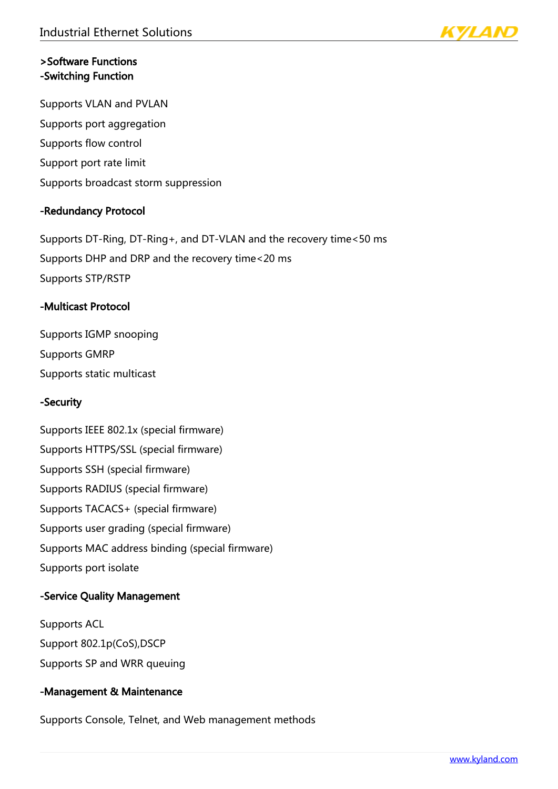

### >Software Functions -Switching Function

Supports VLAN and PVLAN Supports port aggregation Supports flow control Support port rate limit Supports broadcast storm suppression

#### -Redundancy Protocol

Supports DT-Ring, DT-Ring+, and DT-VLAN and the recovery time<50 ms Supports DHP and DRP and the recovery time<20 ms Supports STP/RSTP

#### -Multicast Protocol

Supports IGMP snooping Supports GMRP Supports static multicast

# -Security

Supports IEEE 802.1x (special firmware) Supports HTTPS/SSL (special firmware) Supports SSH (special firmware) Supports RADIUS (special firmware) Supports TACACS+ (special firmware) Supports user grading (special firmware) Supports MAC address binding (special firmware) Supports port isolate

# -Service Quality Management

Supports ACL Support 802.1p(CoS),DSCP Supports SP and WRR queuing

#### -Management & Maintenance

Supports Console, Telnet, and Web management methods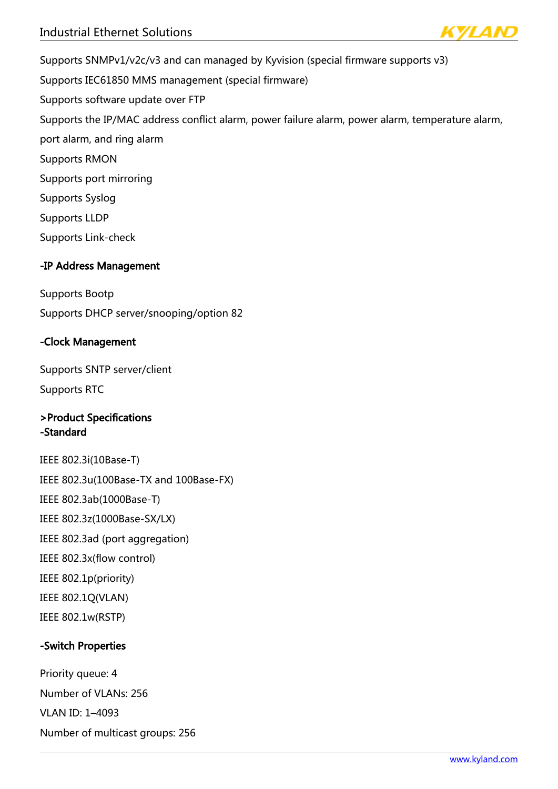

Supports SNMPv1/v2c/v3 and can managed by Kyvision (special firmware supports v3) Supports IEC61850 MMS management (special firmware) Supports software update over FTP Supports the IP/MAC address conflict alarm, power failure alarm, power alarm, temperature alarm, port alarm, and ring alarm Supports RMON Supports port mirroring Supports Syslog Supports LLDP Supports Link-check

### -IP Address Management

Supports Bootp

Supports DHCP server/snooping/option 82

#### -Clock Management

Supports SNTP server/client Supports RTC

# >Product Specifications -Standard

IEEE 802.3i(10Base-T) IEEE 802.3u(100Base-TX and 100Base-FX) IEEE 802.3ab(1000Base-T) IEEE 802.3z(1000Base-SX/LX) IEEE 802.3ad (port aggregation) IEEE 802.3x(flow control) IEEE 802.1p(priority) IEEE 802.1Q(VLAN) IEEE 802.1w(RSTP)

# -Switch Properties

Priority queue: 4 Number of VLANs: 256 VLAN ID: 1–4093 Number of multicast groups: 256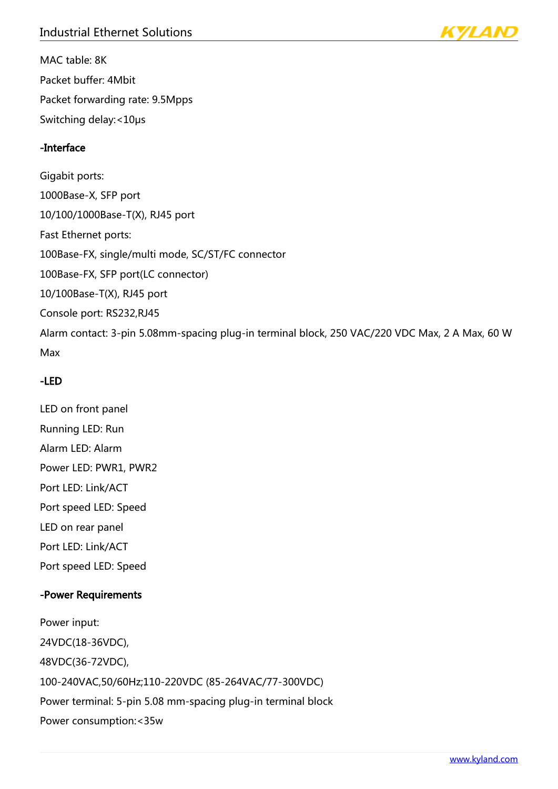MAC table: 8K Packet buffer: 4Mbit Packet forwarding rate: 9.5Mpps Switching delay:<10μs

# -Interface

Gigabit ports: 1000Base-X, SFP port 10/100/1000Base-T(X), RJ45 port Fast Ethernet ports: 100Base-FX, single/multi mode, SC/ST/FC connector 100Base-FX, SFP port(LC connector) 10/100Base-T(X), RJ45 port Console port: RS232,RJ45 Alarm contact: 3-pin 5.08mm-spacing plug-in terminal block, 250 VAC/220 VDC Max, 2 A Max, 60 W Max

# -LED

LED on front panel Running LED: Run Alarm LED: Alarm Power LED: PWR1, PWR2 Port LED: Link/ACT Port speed LED: Speed LED on rear panel Port LED: Link/ACT Port speed LED: Speed

# -Power Requirements

Power input: 24VDC(18-36VDC), 48VDC(36-72VDC), 100-240VAC,50/60Hz;110-220VDC (85-264VAC/77-300VDC) Power terminal: 5-pin 5.08 mm-spacing plug-in terminal block Power consumption:<35w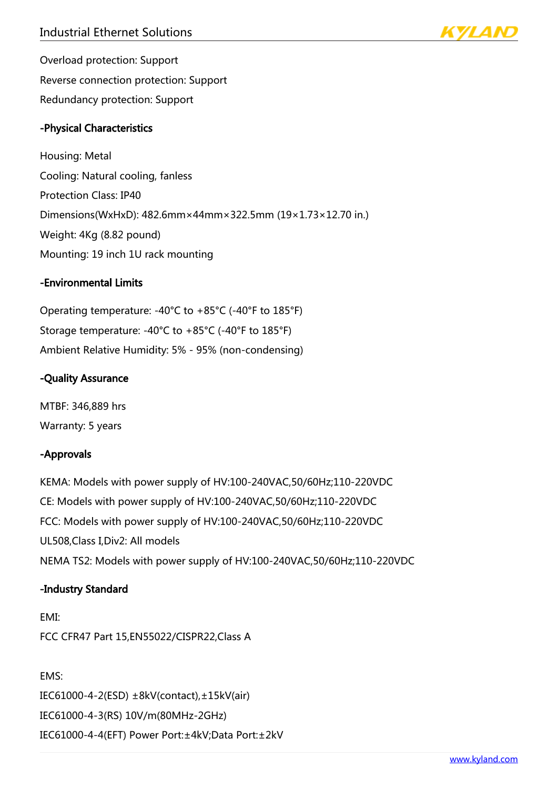

Overload protection: Support Reverse connection protection: Support Redundancy protection: Support

### -Physical Characteristics

Housing: Metal Cooling: Natural cooling, fanless Protection Class: IP40 Dimensions(WxHxD): 482.6mm×44mm×322.5mm (19×1.73×12.70 in.) Weight: 4Kg (8.82 pound) Mounting: 19 inch 1U rack mounting

#### -Environmental Limits

Operating temperature: -40°C to +85°C (-40°F to 185°F) Storage temperature: -40°C to +85°C (-40°F to 185°F) Ambient Relative Humidity: 5% - 95% (non-condensing)

#### -Quality Assurance

MTBF: 346,889 hrs Warranty: 5 years

#### -Approvals

KEMA: Models with power supply of HV:100-240VAC,50/60Hz;110-220VDC CE: Models with power supply of HV:100-240VAC,50/60Hz;110-220VDC FCC: Models with power supply of HV:100-240VAC,50/60Hz;110-220VDC UL508,Class I,Div2: All models NEMA TS2: Models with power supply of HV:100-240VAC,50/60Hz;110-220VDC

#### -Industry Standard

EMI: FCC CFR47 Part 15,EN55022/CISPR22,Class A

EMS: IEC61000-4-2(ESD) ±8kV(contact),±15kV(air) IEC61000-4-3(RS) 10V/m(80MHz-2GHz) IEC61000-4-4(EFT) Power Port:±4kV;Data Port:±2kV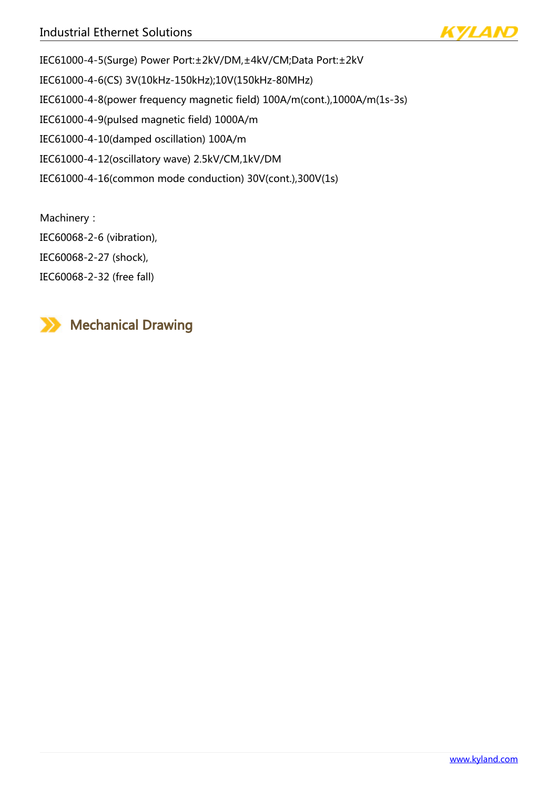

IEC61000-4-5(Surge) Power Port:±2kV/DM,±4kV/CM;Data Port:±2kV IEC61000-4-6(CS) 3V(10kHz-150kHz);10V(150kHz-80MHz) IEC61000-4-8(power frequency magnetic field) 100A/m(cont.),1000A/m(1s-3s) IEC61000-4-9(pulsed magnetic field) 1000A/m IEC61000-4-10(damped oscillation) 100A/m IEC61000-4-12(oscillatory wave) 2.5kV/CM,1kV/DM IEC61000-4-16(common mode conduction) 30V(cont.),300V(1s)

Machinery: IEC60068-2-6 (vibration), IEC60068-2-27 (shock), IEC60068-2-32 (free fall)

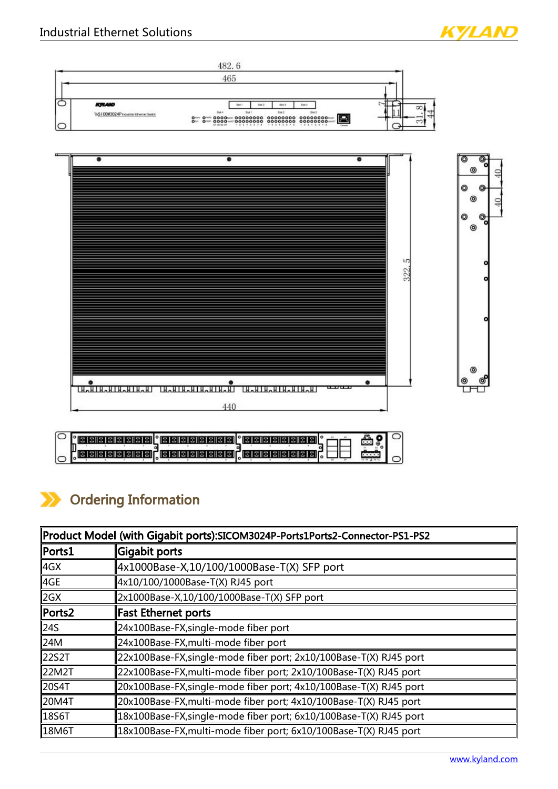





| <u>, le leile i si si si el el el si si si si si el el el el el si si si si el el e</u> |  |  |
|-----------------------------------------------------------------------------------------|--|--|

# Ordering Information

| Product Model (with Gigabit ports):SICOM3024P-Ports1Ports2-Connector-PS1-PS2 |                                                                    |  |
|------------------------------------------------------------------------------|--------------------------------------------------------------------|--|
| $\parallel$ Ports $1$                                                        | Gigabit ports                                                      |  |
| ∥4GX                                                                         | 4x1000Base-X,10/100/1000Base-T(X) SFP port                         |  |
| ∥4GE                                                                         | 4x10/100/1000Base-T(X) RJ45 port                                   |  |
| ∥2GX                                                                         | 2x1000Base-X,10/100/1000Base-T(X) SFP port                         |  |
| $\parallel$ Ports2                                                           | Fast Ethernet ports                                                |  |
| ∥24S                                                                         | 24x100Base-FX,single-mode fiber port                               |  |
| ∥24M                                                                         | 24x100Base-FX,multi-mode fiber port                                |  |
| 22S2T                                                                        | 22x100Base-FX,single-mode fiber port; 2x10/100Base-T(X) RJ45 port  |  |
| ∥22M2T                                                                       | 22x100Base-FX,multi-mode fiber port; 2x10/100Base-T(X) RJ45 port   |  |
| ∥20S4T                                                                       | 20x100Base-FX,single-mode fiber port; 4x10/100Base-T(X) RJ45 port  |  |
| ∥20M4T                                                                       | 20x100Base-FX,multi-mode fiber port; 4x10/100Base-T(X) RJ45 port   |  |
| ∥18S6T                                                                       | 18x100Base-FX, single-mode fiber port; 6x10/100Base-T(X) RJ45 port |  |
| ∥18M6T                                                                       | 18x100Base-FX,multi-mode fiber port; 6x10/100Base-T(X) RJ45 port   |  |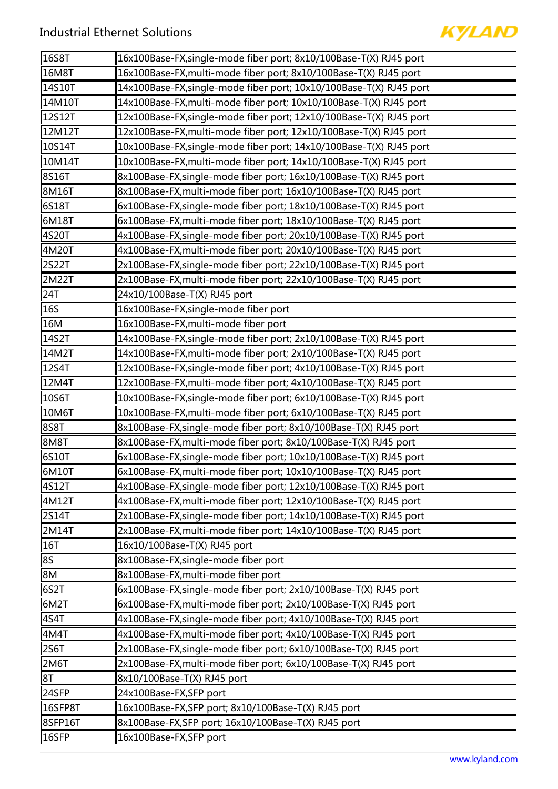

| ∥16S8T              | 16x100Base-FX,single-mode fiber port; 8x10/100Base-T(X) RJ45 port   |
|---------------------|---------------------------------------------------------------------|
| 16M8T               | 16x100Base-FX, multi-mode fiber port; 8x10/100Base-T(X) RJ45 port   |
| 14S10T              | 14x100Base-FX,single-mode fiber port; 10x10/100Base-T(X) RJ45 port  |
| 14M10T              | 14x100Base-FX, multi-mode fiber port; 10x10/100Base-T(X) RJ45 port  |
| 12S12T              | 12x100Base-FX, single-mode fiber port; 12x10/100Base-T(X) RJ45 port |
| 12M12T              | 12x100Base-FX, multi-mode fiber port; 12x10/100Base-T(X) RJ45 port  |
| 10S14T              | 10x100Base-FX,single-mode fiber port; 14x10/100Base-T(X) RJ45 port  |
| 10M14T              | 10x100Base-FX,multi-mode fiber port; 14x10/100Base-T(X) RJ45 port   |
| ∥8S16T              | 8x100Base-FX,single-mode fiber port; 16x10/100Base-T(X) RJ45 port   |
| 8M16T               | 8x100Base-FX, multi-mode fiber port; 16x10/100Base-T(X) RJ45 port   |
| 6S18T               | 6x100Base-FX, single-mode fiber port; 18x10/100Base-T(X) RJ45 port  |
| 6M18T               | 6x100Base-FX, multi-mode fiber port; 18x10/100Base-T(X) RJ45 port   |
| ∥4S20T              | 4x100Base-FX, single-mode fiber port; 20x10/100Base-T(X) RJ45 port  |
| ∥4M20T              | 4x100Base-FX, multi-mode fiber port; 20x10/100Base-T(X) RJ45 port   |
| 2S22T               | 2x100Base-FX, single-mode fiber port; 22x10/100Base-T(X) RJ45 port  |
| 2M22T               | 2x100Base-FX,multi-mode fiber port; 22x10/100Base-T(X) RJ45 port    |
| 24T                 | 24x10/100Base-T(X) RJ45 port                                        |
| 16S                 | 16x100Base-FX, single-mode fiber port                               |
| 16M                 | 16x100Base-FX,multi-mode fiber port                                 |
| 14S2T               | 14x100Base-FX, single-mode fiber port; 2x10/100Base-T(X) RJ45 port  |
| 14M2T               | 14x100Base-FX, multi-mode fiber port; 2x10/100Base-T(X) RJ45 port   |
| 12S4T               | 12x100Base-FX,single-mode fiber port; 4x10/100Base-T(X) RJ45 port   |
| ∥12M4T              | 12x100Base-FX,multi-mode fiber port; 4x10/100Base-T(X) RJ45 port    |
| 10S6T               | 10x100Base-FX, single-mode fiber port; 6x10/100Base-T(X) RJ45 port  |
| 10M6T               | 10x100Base-FX,multi-mode fiber port; 6x10/100Base-T(X) RJ45 port    |
| 8S8T                | 8x100Base-FX, single-mode fiber port; 8x10/100Base-T(X) RJ45 port   |
| ∥8M8T               | 8x100Base-FX,multi-mode fiber port; 8x10/100Base-T(X) RJ45 port     |
| 6S10T               | 6x100Base-FX,single-mode fiber port; 10x10/100Base-T(X) RJ45 port   |
| 6M10T               | 6x100Base-FX,multi-mode fiber port; 10x10/100Base-T(X) RJ45 port    |
| 4S12T               | 4x100Base-FX, single-mode fiber port; 12x10/100Base-T(X) RJ45 port  |
| ∥4M12T              | 4x100Base-FX, multi-mode fiber port; 12x10/100Base-T(X) RJ45 port   |
| 2S14T               | 2x100Base-FX, single-mode fiber port; 14x10/100Base-T(X) RJ45 port  |
| ∥2M14T              | 2x100Base-FX, multi-mode fiber port; 14x10/100Base-T(X) RJ45 port   |
| $\parallel$ 16T     | 16x10/100Base-T(X) RJ45 port                                        |
| 8S                  | 8x100Base-FX, single-mode fiber port                                |
| ∣8M                 | 8x100Base-FX, multi-mode fiber port                                 |
| 6S2T                | 6x100Base-FX, single-mode fiber port; 2x10/100Base-T(X) RJ45 port   |
| 6M2T                | 6x100Base-FX, multi-mode fiber port; 2x10/100Base-T(X) RJ45 port    |
| ∥4S4T               | 4x100Base-FX, single-mode fiber port; 4x10/100Base-T(X) RJ45 port   |
| 4M4T                | 4x100Base-FX, multi-mode fiber port; 4x10/100Base-T(X) RJ45 port    |
| ∣2S6T               | 2x100Base-FX, single-mode fiber port; 6x10/100Base-T(X) RJ45 port   |
| 2M6T                | 2x100Base-FX, multi-mode fiber port; 6x10/100Base-T(X) RJ45 port    |
| 8T                  | 8x10/100Base-T(X) RJ45 port                                         |
| 24SFP               | 24x100Base-FX,SFP port                                              |
| $\parallel$ 16SFP8T | 16x100Base-FX,SFP port; 8x10/100Base-T(X) RJ45 port                 |
| $ 8$ SFP $16$ T     | 8x100Base-FX, SFP port; 16x10/100Base-T(X) RJ45 port                |
| $\parallel$ 16SFP   | 16x100Base-FX,SFP port                                              |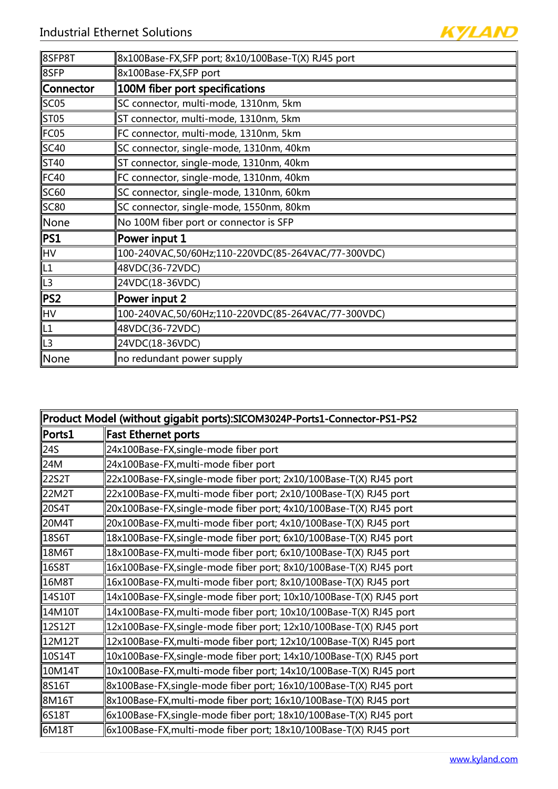| 8SFP8T         | 8x100Base-FX,SFP port; 8x10/100Base-T(X) RJ45 port |
|----------------|----------------------------------------------------|
| 8SFP           | 8x100Base-FX,SFP port                              |
| Connector      | 100M fiber port specifications                     |
| SC05           | SC connector, multi-mode, 1310nm, 5km              |
| ST05           | ST connector, multi-mode, 1310nm, 5km              |
| FC05           | FC connector, multi-mode, 1310nm, 5km              |
| SC40           | SC connector, single-mode, 1310nm, 40km            |
| ST40           | ST connector, single-mode, 1310nm, 40km            |
| FC40           | FC connector, single-mode, 1310nm, 40km            |
| SC60           | SC connector, single-mode, 1310nm, 60km            |
| SC80           | SC connector, single-mode, 1550nm, 80km            |
| None           | No 100M fiber port or connector is SFP             |
| PS1            | Power input 1                                      |
| ∣HV            | 100-240VAC,50/60Hz;110-220VDC(85-264VAC/77-300VDC) |
| L1             | 48VDC(36-72VDC)                                    |
| L3             | 24VDC(18-36VDC)                                    |
| PS2            | Power input 2                                      |
| ∣HV            | 100-240VAC,50/60Hz;110-220VDC(85-264VAC/77-300VDC) |
| L1             | 48VDC(36-72VDC)                                    |
| L <sub>3</sub> | 24VDC(18-36VDC)                                    |
| None           | no redundant power supply                          |

| Product Model (without gigabit ports):SICOM3024P-Ports1-Connector-PS1-PS2 |                                                                     |  |
|---------------------------------------------------------------------------|---------------------------------------------------------------------|--|
| $\parallel$ Ports $1$                                                     | Fast Ethernet ports                                                 |  |
| ∥24S                                                                      | 24x100Base-FX, single-mode fiber port                               |  |
| 24M                                                                       | 24x100Base-FX, multi-mode fiber port                                |  |
| 22S2T                                                                     | 22x100Base-FX, single-mode fiber port; 2x10/100Base-T(X) RJ45 port  |  |
| ∥22M2T                                                                    | 22x100Base-FX, multi-mode fiber port; 2x10/100Base-T(X) RJ45 port   |  |
| ∥20S4T                                                                    | 20x100Base-FX, single-mode fiber port; 4x10/100Base-T(X) RJ45 port  |  |
| ∥20M4T                                                                    | 20x100Base-FX, multi-mode fiber port; 4x10/100Base-T(X) RJ45 port   |  |
| ∥18S6T                                                                    | 18x100Base-FX, single-mode fiber port; 6x10/100Base-T(X) RJ45 port  |  |
| ∥18M6T                                                                    | 18x100Base-FX,multi-mode fiber port; 6x10/100Base-T(X) RJ45 port    |  |
| ∥16S8T                                                                    | 16x100Base-FX, single-mode fiber port; 8x10/100Base-T(X) RJ45 port  |  |
| 16M8T                                                                     | 16x100Base-FX, multi-mode fiber port; 8x10/100Base-T(X) RJ45 port   |  |
| 14S10T                                                                    | 14x100Base-FX, single-mode fiber port; 10x10/100Base-T(X) RJ45 port |  |
| 14M10T                                                                    | 14x100Base-FX,multi-mode fiber port; 10x10/100Base-T(X) RJ45 port   |  |
| ∥12S12T                                                                   | 12x100Base-FX, single-mode fiber port; 12x10/100Base-T(X) RJ45 port |  |
| ∥12M12T                                                                   | 12x100Base-FX, multi-mode fiber port; 12x10/100Base-T(X) RJ45 port  |  |
| ∥10S14T                                                                   | 10x100Base-FX,single-mode fiber port; 14x10/100Base-T(X) RJ45 port  |  |
| ∥10M14T                                                                   | 10x100Base-FX,multi-mode fiber port; 14x10/100Base-T(X) RJ45 port   |  |
| ∥8S16T                                                                    | 8x100Base-FX,single-mode fiber port; 16x10/100Base-T(X) RJ45 port   |  |
| ∥8M16T                                                                    | 8x100Base-FX, multi-mode fiber port; 16x10/100Base-T(X) RJ45 port   |  |
| ∥6S18T                                                                    | 6x100Base-FX, single-mode fiber port; 18x10/100Base-T(X) RJ45 port  |  |
| ∥6M18T                                                                    | 6x100Base-FX,multi-mode fiber port; 18x10/100Base-T(X) RJ45 port    |  |

**KYLAND**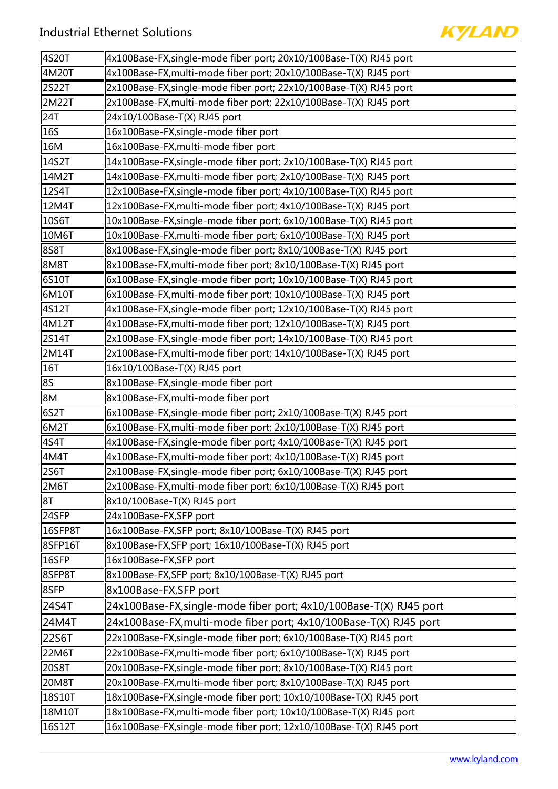

| ∥4S20T              | 4x100Base-FX,single-mode fiber port; 20x10/100Base-T(X) RJ45 port   |
|---------------------|---------------------------------------------------------------------|
| ∥4M20T              | 4x100Base-FX, multi-mode fiber port; 20x10/100Base-T(X) RJ45 port   |
| ∥2S22T              | 2x100Base-FX, single-mode fiber port; 22x10/100Base-T(X) RJ45 port  |
| ∥2M22T              | 2x100Base-FX, multi-mode fiber port; 22x10/100Base-T(X) RJ45 port   |
| ∥24T                | 24x10/100Base-T(X) RJ45 port                                        |
| 16S                 | 16x100Base-FX, single-mode fiber port                               |
| 16M                 | 16x100Base-FX, multi-mode fiber port                                |
| 14S2T               | 14x100Base-FX, single-mode fiber port; 2x10/100Base-T(X) RJ45 port  |
| 14M2T               | 14x100Base-FX, multi-mode fiber port; 2x10/100Base-T(X) RJ45 port   |
| ∥12S4T              | 12x100Base-FX, single-mode fiber port; 4x10/100Base-T(X) RJ45 port  |
| ∥12M4T              | 12x100Base-FX, multi-mode fiber port; 4x10/100Base-T(X) RJ45 port   |
| $\parallel$ 10S6T   | 10x100Base-FX, single-mode fiber port; 6x10/100Base-T(X) RJ45 port  |
| ∥10M6T              | 10x100Base-FX, multi-mode fiber port; 6x10/100Base-T(X) RJ45 port   |
| ∥8S8T               | 8x100Base-FX, single-mode fiber port; 8x10/100Base-T(X) RJ45 port   |
| ∥8M8T               | 8x100Base-FX, multi-mode fiber port; 8x10/100Base-T(X) RJ45 port    |
| ∥6S10T              | 6x100Base-FX,single-mode fiber port; 10x10/100Base-T(X) RJ45 port   |
| ∥6M10T              | 6x100Base-FX, multi-mode fiber port; 10x10/100Base-T(X) RJ45 port   |
| ∥4S12T              | 4x100Base-FX, single-mode fiber port; 12x10/100Base-T(X) RJ45 port  |
| ∥4M12T              | 4x100Base-FX, multi-mode fiber port; 12x10/100Base-T(X) RJ45 port   |
| ∥2S14T              | 2x100Base-FX, single-mode fiber port; 14x10/100Base-T(X) RJ45 port  |
| ∥2M14T              | 2x100Base-FX, multi-mode fiber port; 14x10/100Base-T(X) RJ45 port   |
| $\parallel$ 16T     | 16x10/100Base-T(X) RJ45 port                                        |
| 8S                  | 8x100Base-FX, single-mode fiber port                                |
| ∥8M                 | 8x100Base-FX, multi-mode fiber port                                 |
| ∥6S2T               | 6x100Base-FX, single-mode fiber port; 2x10/100Base-T(X) RJ45 port   |
| ∥6M2T               | 6x100Base-FX,multi-mode fiber port; 2x10/100Base-T(X) RJ45 port     |
| ∥4S4T               | 4x100Base-FX,single-mode fiber port; 4x10/100Base-T(X) RJ45 port    |
| 4M4T                | 4x100Base-FX, multi-mode fiber port; 4x10/100Base-T(X) RJ45 port    |
| ∥2S6T               | 2x100Base-FX, single-mode fiber port; 6x10/100Base-T(X) RJ45 port   |
| 2M6T                | 2x100Base-FX, multi-mode fiber port; 6x10/100Base-T(X) RJ45 port    |
| 8⊺                  | 8x10/100Base-T(X) RJ45 port                                         |
| 24SFP               | 24x100Base-FX,SFP port                                              |
| $\parallel$ 16SFP8T | 16x100Base-FX,SFP port; 8x10/100Base-T(X) RJ45 port                 |
| $ \! $ 8SFP16T      | 8x100Base-FX,SFP port; 16x10/100Base-T(X) RJ45 port                 |
| $\parallel$ 16SFP   | 16x100Base-FX,SFP port                                              |
| ∥8SFP8T             | 8x100Base-FX,SFP port; 8x10/100Base-T(X) RJ45 port                  |
| ∥8SFP               | 8x100Base-FX,SFP port                                               |
| ∥24S4T              | 24x100Base-FX, single-mode fiber port; 4x10/100Base-T(X) RJ45 port  |
| 24M4T               | 24x100Base-FX, multi-mode fiber port; 4x10/100Base-T(X) RJ45 port   |
| 22S6T               | 22x100Base-FX, single-mode fiber port; 6x10/100Base-T(X) RJ45 port  |
| 22M6T               | 22x100Base-FX, multi-mode fiber port; 6x10/100Base-T(X) RJ45 port   |
| ∥20S8T              | 20x100Base-FX, single-mode fiber port; 8x10/100Base-T(X) RJ45 port  |
| ∥20M8T              | 20x100Base-FX, multi-mode fiber port; 8x10/100Base-T(X) RJ45 port   |
| ∥18S10T             | 18x100Base-FX, single-mode fiber port; 10x10/100Base-T(X) RJ45 port |
| 18M10T              | 18x100Base-FX, multi-mode fiber port; 10x10/100Base-T(X) RJ45 port  |
| 16S12T              | 16x100Base-FX, single-mode fiber port; 12x10/100Base-T(X) RJ45 port |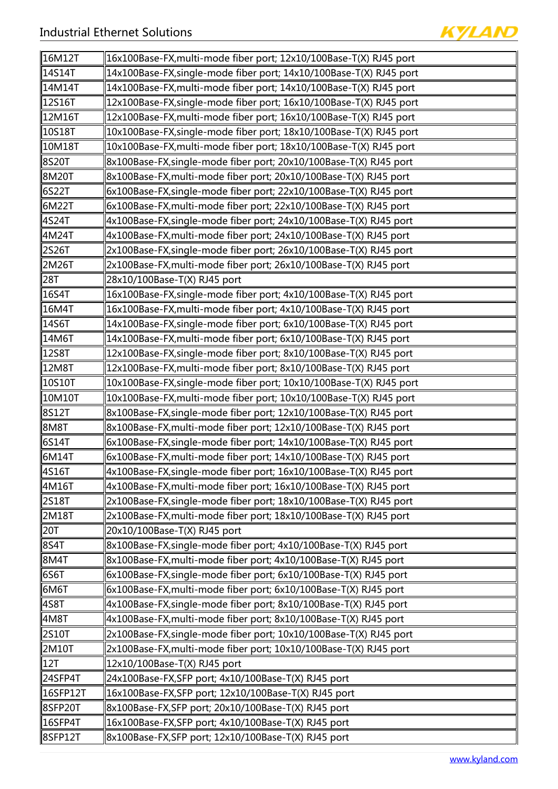

| ∥16M12T             | 16x100Base-FX,multi-mode fiber port; 12x10/100Base-T(X) RJ45 port   |
|---------------------|---------------------------------------------------------------------|
| 14S14T              | 14x100Base-FX, single-mode fiber port; 14x10/100Base-T(X) RJ45 port |
| 14M14T              | 14x100Base-FX, multi-mode fiber port; 14x10/100Base-T(X) RJ45 port  |
| 12S16T              | 12x100Base-FX, single-mode fiber port; 16x10/100Base-T(X) RJ45 port |
| 12M16T              | 12x100Base-FX, multi-mode fiber port; 16x10/100Base-T(X) RJ45 port  |
| 10S18T              | 10x100Base-FX, single-mode fiber port; 18x10/100Base-T(X) RJ45 port |
| 10M18T              | 10x100Base-FX, multi-mode fiber port; 18x10/100Base-T(X) RJ45 port  |
| 8S20T               | 8x100Base-FX, single-mode fiber port; 20x10/100Base-T(X) RJ45 port  |
| 8M20T               | 8x100Base-FX, multi-mode fiber port; 20x10/100Base-T(X) RJ45 port   |
| 6S22T               | 6x100Base-FX, single-mode fiber port; 22x10/100Base-T(X) RJ45 port  |
| 6M22T               | 6x100Base-FX, multi-mode fiber port; 22x10/100Base-T(X) RJ45 port   |
| ∥4S24T              | 4x100Base-FX, single-mode fiber port; 24x10/100Base-T(X) RJ45 port  |
| 4M24T               | 4x100Base-FX, multi-mode fiber port; 24x10/100Base-T(X) RJ45 port   |
| 2S26T               | 2x100Base-FX, single-mode fiber port; 26x10/100Base-T(X) RJ45 port  |
| 2M26T               | 2x100Base-FX, multi-mode fiber port; 26x10/100Base-T(X) RJ45 port   |
| 28T                 | 28x10/100Base-T(X) RJ45 port                                        |
| 16S4T               | 16x100Base-FX, single-mode fiber port; 4x10/100Base-T(X) RJ45 port  |
| 16M4T               | 16x100Base-FX, multi-mode fiber port; 4x10/100Base-T(X) RJ45 port   |
| 14S6T               | 14x100Base-FX, single-mode fiber port; 6x10/100Base-T(X) RJ45 port  |
| 14M6T               | 14x100Base-FX, multi-mode fiber port; 6x10/100Base-T(X) RJ45 port   |
| 12S8T               | 12x100Base-FX, single-mode fiber port; 8x10/100Base-T(X) RJ45 port  |
| 12M8T               | 12x100Base-FX, multi-mode fiber port; 8x10/100Base-T(X) RJ45 port   |
| 10S10T              | 10x100Base-FX, single-mode fiber port; 10x10/100Base-T(X) RJ45 port |
| 10M10T              | 10x100Base-FX, multi-mode fiber port; 10x10/100Base-T(X) RJ45 port  |
| 8S12T               | 8x100Base-FX, single-mode fiber port; 12x10/100Base-T(X) RJ45 port  |
| 8M8T                | 8x100Base-FX, multi-mode fiber port; 12x10/100Base-T(X) RJ45 port   |
| ∥6S14T              | 6x100Base-FX, single-mode fiber port; 14x10/100Base-T(X) RJ45 port  |
| 6M14T               | 6x100Base-FX, multi-mode fiber port; 14x10/100Base-T(X) RJ45 port   |
| ∥4S16T              | 4x100Base-FX,single-mode fiber port; 16x10/100Base-T(X) RJ45 port   |
| ∥4M16T              | 4x100Base-FX, multi-mode fiber port; 16x10/100Base-T(X) RJ45 port   |
| ∥2S18T              | 2x100Base-FX, single-mode fiber port; 18x10/100Base-T(X) RJ45 port  |
| ∥2M18T              | 2x100Base-FX, multi-mode fiber port; 18x10/100Base-T(X) RJ45 port   |
| 20T                 | 20x10/100Base-T(X) RJ45 port                                        |
| ∥8S4T               | 8x100Base-FX, single-mode fiber port; 4x10/100Base-T(X) RJ45 port   |
| ∣8M4T               | 8x100Base-FX, multi-mode fiber port; 4x10/100Base-T(X) RJ45 port    |
| 6S6T                | 6x100Base-FX, single-mode fiber port; 6x10/100Base-T(X) RJ45 port   |
| 6M6T                | 6x100Base-FX, multi-mode fiber port; 6x10/100Base-T(X) RJ45 port    |
| ∥4S8T               | 4x100Base-FX, single-mode fiber port; 8x10/100Base-T(X) RJ45 port   |
| ∥4M8T               | 4x100Base-FX, multi-mode fiber port; 8x10/100Base-T(X) RJ45 port    |
| 2S10T               | 2x100Base-FX, single-mode fiber port; 10x10/100Base-T(X) RJ45 port  |
| ∥2M10T              | 2x100Base-FX, multi-mode fiber port; 10x10/100Base-T(X) RJ45 port   |
| ∥12T                | 12x10/100Base-T(X) RJ45 port                                        |
| ∥24SFP4T            | 24x100Base-FX,SFP port; 4x10/100Base-T(X) RJ45 port                 |
| ∥16SFP12T           | 16x100Base-FX, SFP port; 12x10/100Base-T(X) RJ45 port               |
| ∥8SFP20T            | 8x100Base-FX, SFP port; 20x10/100Base-T(X) RJ45 port                |
| $\parallel$ 16SFP4T | 16x100Base-FX,SFP port; 4x10/100Base-T(X) RJ45 port                 |
| 8SFP12T             | 8x100Base-FX,SFP port; 12x10/100Base-T(X) RJ45 port                 |